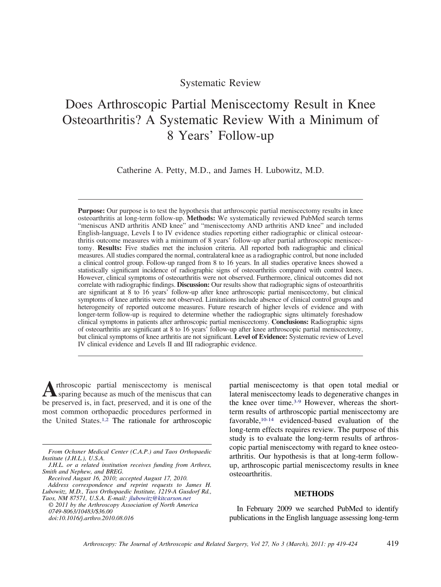# Systematic Review

# Does Arthroscopic Partial Meniscectomy Result in Knee Osteoarthritis? A Systematic Review With a Minimum of 8 Years' Follow-up

Catherine A. Petty, M.D., and James H. Lubowitz, M.D.

**Purpose:** Our purpose is to test the hypothesis that arthroscopic partial meniscectomy results in knee osteoarthritis at long-term follow-up. **Methods:** We systematically reviewed PubMed search terms "meniscus AND arthritis AND knee" and "meniscectomy AND arthritis AND knee" and included English-language, Levels I to IV evidence studies reporting either radiographic or clinical osteoarthritis outcome measures with a minimum of 8 years' follow-up after partial arthroscopic meniscectomy. **Results:** Five studies met the inclusion criteria. All reported both radiographic and clinical measures. All studies compared the normal, contralateral knee as a radiographic control, but none included a clinical control group. Follow-up ranged from 8 to 16 years. In all studies operative knees showed a statistically significant incidence of radiographic signs of osteoarthritis compared with control knees. However, clinical symptoms of osteoarthritis were not observed. Furthermore, clinical outcomes did not correlate with radiographic findings. **Discussion:** Our results show that radiographic signs of osteoarthritis are significant at 8 to 16 years' follow-up after knee arthroscopic partial meniscectomy, but clinical symptoms of knee arthritis were not observed. Limitations include absence of clinical control groups and heterogeneity of reported outcome measures. Future research of higher levels of evidence and with longer-term follow-up is required to determine whether the radiographic signs ultimately foreshadow clinical symptoms in patients after arthroscopic partial meniscectomy. **Conclusions:** Radiographic signs of osteoarthritis are significant at 8 to 16 years' follow-up after knee arthroscopic partial meniscectomy, but clinical symptoms of knee arthritis are not significant. **Level of Evidence:** Systematic review of Level IV clinical evidence and Levels II and III radiographic evidence.

**A**rthroscopic partial meniscectomy is meniscal<br>sparing because as much of the meniscus that can be preserved is, in fact, preserved, and it is one of the most common orthopaedic procedures performed in the United States[.1,2](#page-4-0) The rationale for arthroscopic

partial meniscectomy is that open total medial or lateral meniscectomy leads to degenerative changes in the knee over time.<sup>3-9</sup> However, whereas the shortterm results of arthroscopic partial meniscectomy are favorable[,10-14](#page-4-0) evidenced-based evaluation of the long-term effects requires review. The purpose of this study is to evaluate the long-term results of arthroscopic partial meniscectomy with regard to knee osteoarthritis. Our hypothesis is that at long-term followup, arthroscopic partial meniscectomy results in knee osteoarthritis.

## **METHODS**

In February 2009 we searched PubMed to identify publications in the English language assessing long-term

*From Ochsner Medical Center (C.A.P.) and Taos Orthopaedic Institute (J.H.L.), U.S.A.*

*J.H.L. or a related institution receives funding from Arthrex, Smith and Nephew, and BREG.*

*Received August 16, 2010; accepted August 17, 2010. Address correspondence and reprint requests to James H. Lubowitz, M.D., Taos Orthopaedic Institute, 1219-A Gusdorf Rd.,*

*Taos, NM 87571, U.S.A. E-mail: [jlubowitz@kitcarson.net](mailto:jlubowitz@kitcarson.net) © 2011 by the Arthroscopy Association of North America*

*<sup>0749-8063/10483/\$36.00</sup> doi:10.1016/j.arthro.2010.08.016*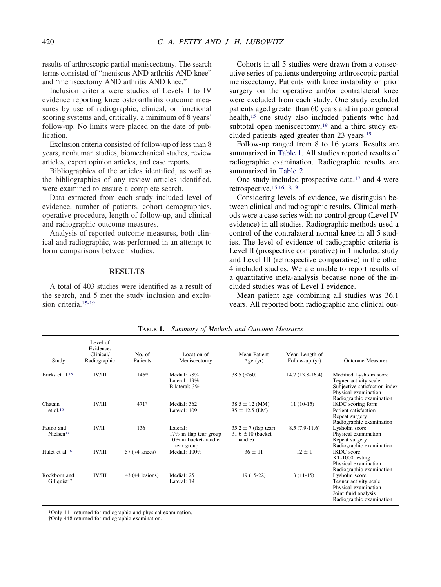results of arthroscopic partial meniscectomy. The search terms consisted of "meniscus AND arthritis AND knee" and "meniscectomy AND arthritis AND knee."

Inclusion criteria were studies of Levels I to IV evidence reporting knee osteoarthritis outcome measures by use of radiographic, clinical, or functional scoring systems and, critically, a minimum of 8 years' follow-up. No limits were placed on the date of publication.

Exclusion criteria consisted of follow-up of less than 8 years, nonhuman studies, biomechanical studies, review articles, expert opinion articles, and case reports.

Bibliographies of the articles identified, as well as the bibliographies of any review articles identified, were examined to ensure a complete search.

Data extracted from each study included level of evidence, number of patients, cohort demographics, operative procedure, length of follow-up, and clinical and radiographic outcome measures.

Analysis of reported outcome measures, both clinical and radiographic, was performed in an attempt to form comparisons between studies.

#### **RESULTS**

A total of 403 studies were identified as a result of the search, and 5 met the study inclusion and exclusion criteria[.15-19](#page-4-0)

Cohorts in all 5 studies were drawn from a consecutive series of patients undergoing arthroscopic partial meniscectomy. Patients with knee instability or prior surgery on the operative and/or contralateral knee were excluded from each study. One study excluded patients aged greater than 60 years and in poor general health[,15](#page-4-0) one study also included patients who had subtotal open meniscectomy,<sup>19</sup> and a third study excluded patients aged greater than 23 years[.19](#page-5-0)

Follow-up ranged from 8 to 16 years. Results are summarized in Table 1. All studies reported results of radiographic examination. Radiographic results are summarized in [Table 2.](#page-2-0)

One study included prospective data,<sup>17</sup> and 4 were retrospective[.15,16,18,19](#page-4-0)

Considering levels of evidence, we distinguish between clinical and radiographic results. Clinical methods were a case series with no control group (Level IV evidence) in all studies. Radiographic methods used a control of the contralateral normal knee in all 5 studies. The level of evidence of radiographic criteria is Level II (prospective comparative) in 1 included study and Level III (retrospective comparative) in the other 4 included studies. We are unable to report results of a quantitative meta-analysis because none of the included studies was of Level I evidence.

Mean patient age combining all studies was 36.1 years. All reported both radiographic and clinical out-

| Study                                   | Level of<br>Evidence:<br>Clinical/<br>Radiographic | No. of<br>Patients | Location of<br>Meniscectomy                                              | Mean Patient<br>Age $(yr)$                                   | Mean Length of<br>Follow-up (yr) | <b>Outcome Measures</b>                                                                                                              |
|-----------------------------------------|----------------------------------------------------|--------------------|--------------------------------------------------------------------------|--------------------------------------------------------------|----------------------------------|--------------------------------------------------------------------------------------------------------------------------------------|
| Burks et al. <sup>15</sup>              | <b>IV/III</b>                                      | $146*$             | Medial: 78%<br>Lateral: 19%<br>Bilateral: 3%                             | $38.5 \; (< 60)$                                             | $14.7(13.8-16.4)$                | Modified Lysholm score<br>Tegner activity scale<br>Subjective satisfaction index<br>Physical examination<br>Radiographic examination |
| Chatain<br>et al. $16$                  | <b>IV/III</b>                                      | $471^+$            | Medial: 362<br>Lateral: 109                                              | $38.5 \pm 12$ (MM)<br>$35 \pm 12.5$ (LM)                     | $11(10-15)$                      | IKDC scoring form<br>Patient satisfaction<br>Repeat surgery<br>Radiographic examination                                              |
| Fauno and<br>Nielsen <sup>17</sup>      | <b>IV/II</b>                                       | 136                | Lateral:<br>17% in flap tear group<br>10% in bucket-handle<br>tear group | $35.2 \pm 7$ (flap tear)<br>$31.6 \pm 10$ (bucket<br>handle) | $8.5(7.9-11.6)$                  | Lysholm score<br>Physical examination<br>Repeat surgery<br>Radiographic examination                                                  |
| Hulet et al. <sup>18</sup>              | <b>IV/III</b>                                      | 57 (74 knees)      | Medial: 100%                                                             | $36 \pm 11$                                                  | $12 \pm 1$                       | <b>IKDC</b> score<br>KT-1000 testing<br>Physical examination<br>Radiographic examination                                             |
| Rockborn and<br>Gillquist <sup>19</sup> | <b>IV/III</b>                                      | 43 (44 lesions)    | Medial: 25<br>Lateral: 19                                                | $19(15-22)$                                                  | $13(11-15)$                      | Lysholm score<br>Tegner activity scale<br>Physical examination<br>Joint fluid analysis<br>Radiographic examination                   |

**TABLE 1.** *Summary of Methods and Outcome Measures*

\*Only 111 returned for radiographic and physical examination.

†Only 448 returned for radiographic examination.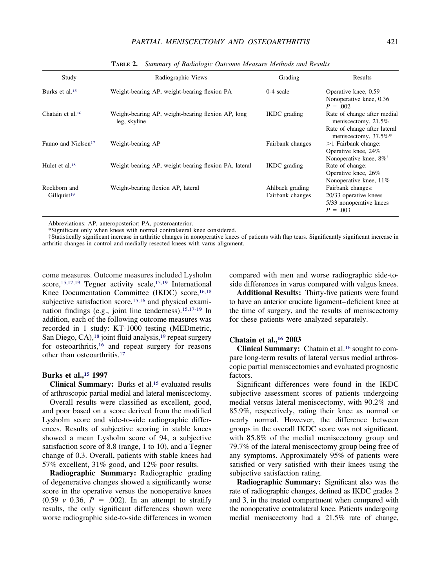<span id="page-2-0"></span>

| Study                                   | Radiographic Views                                                 | Grading                             | Results                                                                                                       |
|-----------------------------------------|--------------------------------------------------------------------|-------------------------------------|---------------------------------------------------------------------------------------------------------------|
| Burks et al. <sup>15</sup>              | Weight-bearing AP, weight-bearing flexion PA                       | $0-4$ scale                         | Operative knee, 0.59<br>Nonoperative knee, 0.36<br>$P = .002$                                                 |
| Chatain et al. <sup>16</sup>            | Weight-bearing AP, weight-bearing flexion AP, long<br>leg, skyline | <b>IKDC</b> grading                 | Rate of change after medial<br>meniscectomy, 21.5%<br>Rate of change after lateral                            |
| Fauno and Nielsen <sup>17</sup>         | Weight-bearing AP                                                  | Fairbank changes                    | meniscectomy, 37.5%*<br>$>1$ Fairbank change:<br>Operative knee, 24%                                          |
| Hulet et al. $18$                       | Weight-bearing AP, weight-bearing flexion PA, lateral              | IKDC grading                        | Nonoperative knee, $8\%$ <sup>†</sup><br>Rate of change:<br>Operative knee, 26%                               |
| Rockborn and<br>Gillquist <sup>19</sup> | Weight-bearing flexion AP, lateral                                 | Ahlback grading<br>Fairbank changes | Nonoperative knee, 11%<br>Fairbank changes:<br>20/33 operative knees<br>5/33 nonoperative knees<br>$P = .003$ |

**TABLE 2.** *Summary of Radiologic Outcome Measure Methods and Results*

Abbreviations: AP, anteroposterior; PA, posteroanterior.

\*Significant only when knees with normal contralateral knee considered.

†Statistically significant increase in arthritic changes in nonoperative knees of patients with flap tears. Significantly significant increase in arthritic changes in control and medially resected knees with varus alignment.

come measures. Outcome measures included Lysholm score,<sup>15,17,19</sup> Tegner activity scale,<sup>15,19</sup> International Knee Documentation Committee (IKDC) score,<sup>16,18</sup> subjective satisfaction score,  $15,16$  and physical examination findings (e.g., joint line tenderness)[.15,17-19](#page-4-0) In addition, each of the following outcome measures was recorded in 1 study: KT-1000 testing (MEDmetric, San Diego, CA),<sup>18</sup> joint fluid analysis,<sup>19</sup> repeat surgery for osteoarthritis,<sup>16</sup> and repeat surgery for reasons other than osteoarthritis[.17](#page-5-0)

### **Burks et al.[,15](#page-4-0) 1997**

**Clinical Summary:** Burks et al[.15](#page-4-0) evaluated results of arthroscopic partial medial and lateral meniscectomy.

Overall results were classified as excellent, good, and poor based on a score derived from the modified Lysholm score and side-to-side radiographic differences. Results of subjective scoring in stable knees showed a mean Lysholm score of 94, a subjective satisfaction score of 8.8 (range, 1 to 10), and a Tegner change of 0.3. Overall, patients with stable knees had 57% excellent, 31% good, and 12% poor results.

**Radiographic Summary:** Radiographic grading of degenerative changes showed a significantly worse score in the operative versus the nonoperative knees  $(0.59 \, v \, 0.36, \, P = .002)$ . In an attempt to stratify results, the only significant differences shown were worse radiographic side-to-side differences in women

compared with men and worse radiographic side-toside differences in varus compared with valgus knees.

**Additional Results:** Thirty-five patients were found to have an anterior cruciate ligament–deficient knee at the time of surgery, and the results of meniscectomy for these patients were analyzed separately.

### **Chatain et al.[,16](#page-4-0) 2003**

**Clinical Summary:** Chatain et al[.16](#page-4-0) sought to compare long-term results of lateral versus medial arthroscopic partial meniscectomies and evaluated prognostic factors.

Significant differences were found in the IKDC subjective assessment scores of patients undergoing medial versus lateral meniscectomy, with 90.2% and 85.9%, respectively, rating their knee as normal or nearly normal. However, the difference between groups in the overall IKDC score was not significant, with 85.8% of the medial meniscectomy group and 79.7% of the lateral meniscectomy group being free of any symptoms. Approximately 95% of patients were satisfied or very satisfied with their knees using the subjective satisfaction rating.

**Radiographic Summary:** Significant also was the rate of radiographic changes, defined as IKDC grades 2 and 3, in the treated compartment when compared with the nonoperative contralateral knee. Patients undergoing medial meniscectomy had a 21.5% rate of change,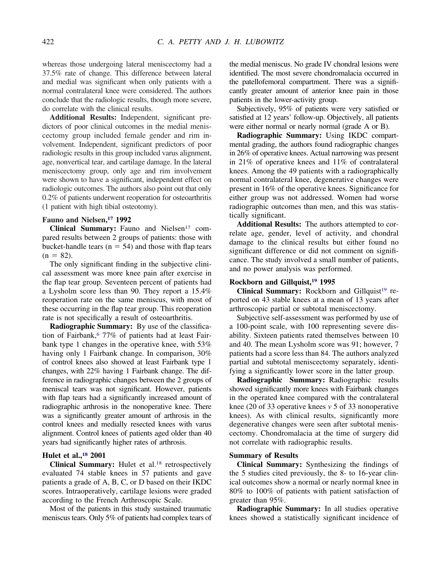whereas those undergoing lateral meniscectomy had a 37.5% rate of change. This difference between lateral and medial was significant when only patients with a normal contralateral knee were considered. The authors conclude that the radiologic results, though more severe, do correlate with the clinical results.

**Additional Results:** Independent, significant predictors of poor clinical outcomes in the medial meniscectomy group included female gender and rim involvement. Independent, significant predictors of poor radiologic results in this group included varus alignment, age, nonvertical tear, and cartilage damage. In the lateral meniscectomy group, only age and rim involvement were shown to have a significant, independent effect on radiologic outcomes. The authors also point out that only 0.2% of patients underwent reoperation for osteoarthritis (1 patient with high tibial osteotomy).

# **Fauno and Nielsen[,17](#page-5-0) 1992**

Clinical Summary: Fauno and Nielsen<sup>17</sup> compared results between 2 groups of patients: those with bucket-handle tears ( $n = 54$ ) and those with flap tears  $(n = 82)$ .

The only significant finding in the subjective clinical assessment was more knee pain after exercise in the flap tear group. Seventeen percent of patients had a Lysholm score less than 90. They report a 15.4% reoperation rate on the same meniscus, with most of these occurring in the flap tear group. This reoperation rate is not specifically a result of osteoarthritis.

**Radiographic Summary:** By use of the classification of Fairbank,<sup>6</sup> 77% of patients had at least Fairbank type 1 changes in the operative knee, with 53% having only 1 Fairbank change. In comparison, 30% of control knees also showed at least Fairbank type 1 changes, with 22% having 1 Fairbank change. The difference in radiographic changes between the 2 groups of meniscal tears was not significant. However, patients with flap tears had a significantly increased amount of radiographic arthrosis in the nonoperative knee. There was a significantly greater amount of arthrosis in the control knees and medially resected knees with varus alignment. Control knees of patients aged older than 40 years had significantly higher rates of arthrosis.

#### **Hulet et al.[,18](#page-5-0) 2001**

**Clinical Summary:** Hulet et al[.18](#page-5-0) retrospectively evaluated 74 stable knees in 57 patients and gave patients a grade of A, B, C, or D based on their IKDC scores. Intraoperatively, cartilage lesions were graded according to the French Arthroscopic Scale.

Most of the patients in this study sustained traumatic meniscus tears. Only 5% of patients had complex tears of the medial meniscus. No grade IV chondral lesions were identified. The most severe chondromalacia occurred in the patellofemoral compartment. There was a significantly greater amount of anterior knee pain in those patients in the lower-activity group.

Subjectively, 95% of patients were very satisfied or satisfied at 12 years' follow-up. Objectively, all patients were either normal or nearly normal (grade A or B).

**Radiographic Summary:** Using IKDC compartmental grading, the authors found radiographic changes in 26% of operative knees. Actual narrowing was present in 21% of operative knees and 11% of contralateral knees. Among the 49 patients with a radiographically normal contralateral knee, degenerative changes were present in 16% of the operative knees. Significance for either group was not addressed. Women had worse radiographic outcomes than men, and this was statistically significant.

**Additional Results:** The authors attempted to correlate age, gender, level of activity, and chondral damage to the clinical results but either found no significant difference or did not comment on significance. The study involved a small number of patients, and no power analysis was performed.

#### **Rockborn and Gillquist[,19](#page-5-0) 1995**

Clinical Summary: Rockborn and Gillquist<sup>19</sup> reported on 43 stable knees at a mean of 13 years after arthroscopic partial or subtotal meniscectomy.

Subjective self-assessment was performed by use of a 100-point scale, with 100 representing severe disability. Sixteen patients rated themselves between 10 and 40. The mean Lysholm score was 91; however, 7 patients had a score less than 84. The authors analyzed partial and subtotal meniscectomy separately, identifying a significantly lower score in the latter group.

**Radiographic Summary:** Radiographic results showed significantly more knees with Fairbank changes in the operated knee compared with the contralateral knee (20 of 33 operative knees *v* 5 of 33 nonoperative knees). As with clinical results, significantly more degenerative changes were seen after subtotal meniscectomy. Chondromalacia at the time of surgery did not correlate with radiographic results.

#### **Summary of Results**

**Clinical Summary:** Synthesizing the findings of the 5 studies cited previously, the 8- to 16-year clinical outcomes show a normal or nearly normal knee in 80% to 100% of patients with patient satisfaction of greater than 95%.

**Radiographic Summary:** In all studies operative knees showed a statistically significant incidence of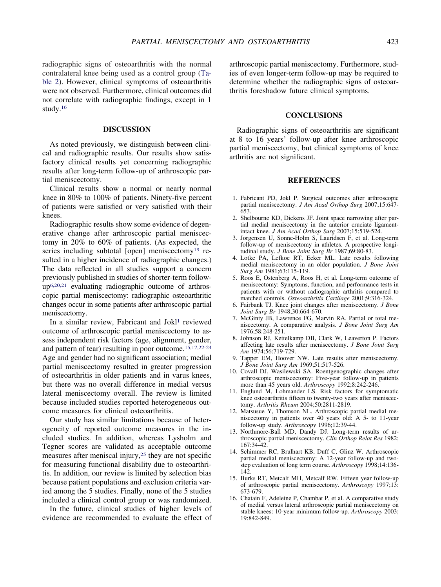<span id="page-4-0"></span>radiographic signs of osteoarthritis with the normal contralateral knee being used as a control group [\(Ta](#page-2-0)[ble 2\)](#page-2-0). However, clinical symptoms of osteoarthritis were not observed. Furthermore, clinical outcomes did not correlate with radiographic findings, except in 1 study.16

#### **DISCUSSION**

As noted previously, we distinguish between clinical and radiographic results. Our results show satisfactory clinical results yet concerning radiographic results after long-term follow-up of arthroscopic partial meniscectomy.

Clinical results show a normal or nearly normal knee in 80% to 100% of patients. Ninety-five percent of patients were satisfied or very satisfied with their knees.

Radiographic results show some evidence of degenerative change after arthroscopic partial meniscectomy in 20% to 60% of patients. (As expected, the series including subtotal [open] meniscectomy<sup>19</sup> resulted in a higher incidence of radiographic changes.) The data reflected in all studies support a concern previously published in studies of shorter-term followup6,20,21 evaluating radiographic outcome of arthroscopic partial meniscectomy: radiographic osteoarthritic changes occur in some patients after arthroscopic partial meniscectomy.

In a similar review, Fabricant and Jokl<sup>1</sup> reviewed outcome of arthroscopic partial meniscectomy to assess independent risk factors (age, alignment, gender, and pattern of tear) resulting in poor outcome.15,17,22-24 Age and gender had no significant association; medial partial meniscectomy resulted in greater progression of osteoarthritis in older patients and in varus knees, but there was no overall difference in medial versus lateral meniscectomy overall. The review is limited because included studies reported heterogeneous outcome measures for clinical osteoarthritis.

Our study has similar limitations because of heterogeneity of reported outcome measures in the included studies. In addition, whereas Lysholm and Tegner scores are validated as acceptable outcome measures after meniscal injury[,25](#page-5-0) they are not specific for measuring functional disability due to osteoarthritis. In addition, our review is limited by selection bias because patient populations and exclusion criteria varied among the 5 studies. Finally, none of the 5 studies included a clinical control group or was randomized.

In the future, clinical studies of higher levels of evidence are recommended to evaluate the effect of arthroscopic partial meniscectomy. Furthermore, studies of even longer-term follow-up may be required to determine whether the radiographic signs of osteoarthritis foreshadow future clinical symptoms.

### **CONCLUSIONS**

Radiographic signs of osteoarthritis are significant at 8 to 16 years' follow-up after knee arthroscopic partial meniscectomy, but clinical symptoms of knee arthritis are not significant.

### **REFERENCES**

- 1. Fabricant PD, Jokl P. Surgical outcomes after arthroscopic partial meniscectomy. *J Am Acad Orthop Surg* 2007;15:647- 653.
- 2. Shelbourne KD, Dickens JF. Joint space narrowing after partial medial meniscectomy in the anterior cruciate ligamentintact knee. *J Am Acad Orthop Surg* 2007;15:519-524.
- 3. Jorgensen U, Sonne-Holm S, Lauridsen F, et al. Long-term follow-up of meniscectomy in athletes. A prospective longitudinal study. *J Bone Joint Surg Br* 1987;69:80-83.
- 4. Lotke PA, Lefkoe RT, Ecker ML. Late results following medial meniscectomy in an older population. *J Bone Joint Surg Am* 1981;63:115-119.
- 5. Roos E, Ostenberg A, Roos H, et al. Long-term outcome of meniscectomy: Symptoms, function, and performance tests in patients with or without radiographic arthritis compared to matched controls. *Osteoarthritis Cartilage* 2001;9:316-324.
- 6. Fairbank TJ. Knee joint changes after meniscectomy. *J Bone Joint Surg Br* 1948;30:664-670.
- 7. McGinty JB, Lawrence FG, Marvin RA. Partial or total meniscectomy. A comparative analysis. *J Bone Joint Surg Am* 1976;58:248-251.
- 8. Johnson RJ, Kettelkamp DB, Clark W, Leaverton P. Factors affecting late results after meniscectomy. *J Bone Joint Surg Am* 1974;56:719-729.
- 9. Tapper EM, Hoover NW. Late results after meniscectomy. *J Bone Joint Surg Am* 1969;51:517-526.
- 10. Covall DJ, Wasilewski SA. Roentgenographic changes after arthroscopic meniscectomy: Five-year follow-up in patients more than 45 years old. *Arthroscopy* 1992;8:242-246.
- 11. Englund M, Lohmander LS. Risk factors for symptomatic knee osteoarthritis fifteen to twenty-two years after meniscectomy. *Arthritis Rheum* 2004;50:2811-2819.
- 12. Matsusue Y, Thomson NL. Arthroscopic partial medial meniscectomy in patients over 40 years old: A 5- to 11-year follow-up study. *Arthroscopy* 1996;12:39-44.
- 13. Northmore-Ball MD, Dandy DJ. Long-term results of arthroscopic partial meniscectomy. *Clin Orthop Relat Res* 1982; 167:34-42.
- 14. Schimmer RC, Brulhart KB, Duff C, Glinz W. Arthroscopic partial medial meniscectomy: A 12-year follow-up and twostep evaluation of long term course. *Arthroscopy* 1998;14:136- 142.
- 15. Burks RT, Metcalf MH, Metcalf RW. Fifteen year follow-up of arthroscopic partial meniscectomy. *Arthroscopy* 1997;13: 673-679.
- 16. Chatain F, Adeleine P, Chambat P, et al. A comparative study of medial versus lateral arthroscopic partial meniscectomy on stable knees: 10-year minimum follow-up. *Arthroscopy* 2003; 19:842-849.